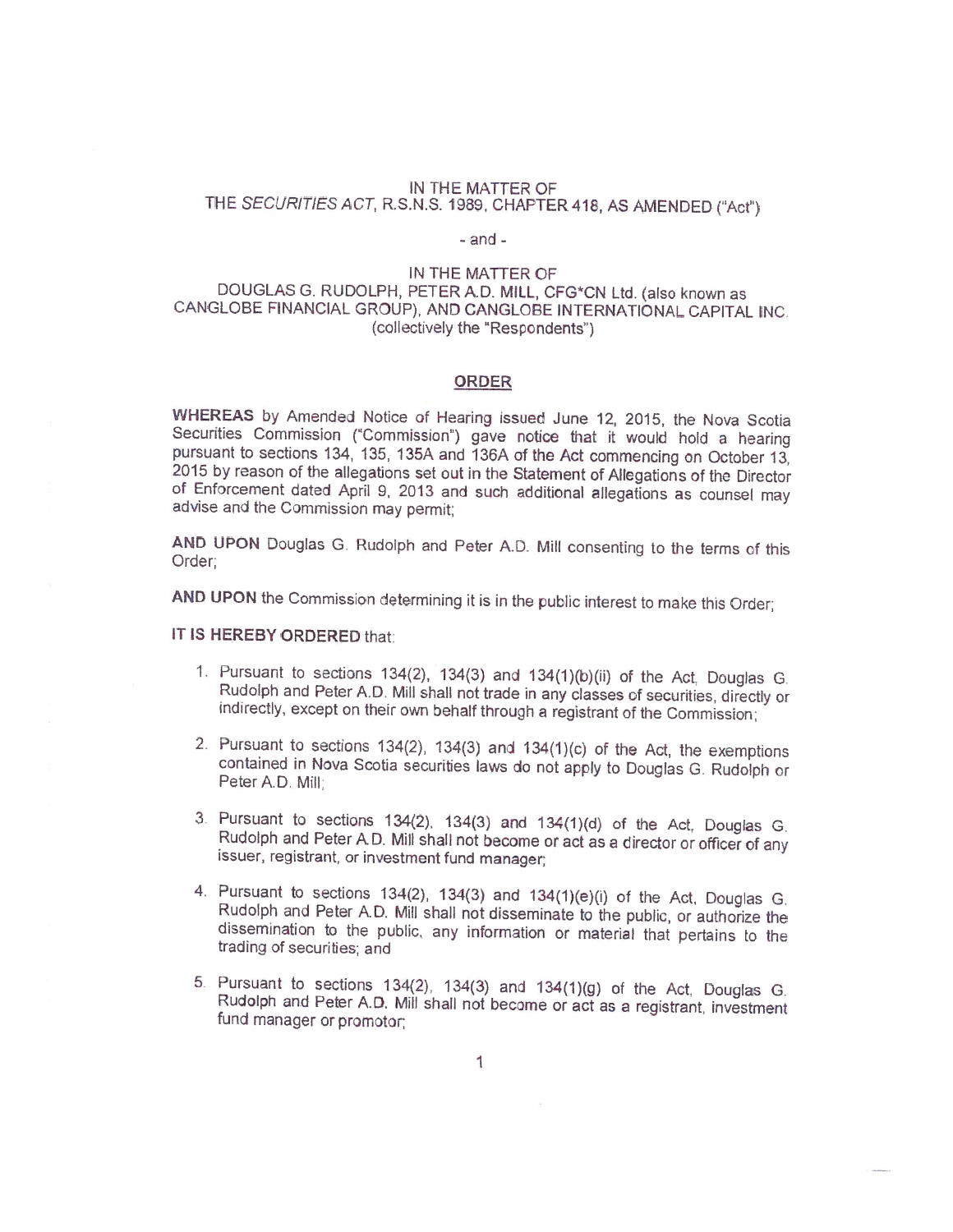## IN THE MATTER OF THE SECURITIES ACT, R.S.N.S. 1989, CHAPTER 418, AS AMENDED ("Act")

### -and-

# IN THE MATTER OF<br>DOUGLAS G. RUDOLPH, PETER A.D. MILL, CFG\*CN Ltd. (also known as CANGLOBE FINANCIAL GROUP), AND CANGLOBE INTERNATIONAL CAPITAL INC. (collectively the "Respondents")

#### ORDER

WHEREAS by Amended Notice of Hearing issued June 12, 2015, the Nova Scotia Securities Commission ("Commission") gave notice that it would hold a hearing pursuant to sections 134, 135, 135A and 136A of the Act commencing on 2015 by reason of the allegations set out in the Statement of Allegations of the Director of Enforcement dated April 9, 2013 and such additional allegations as counsel may advise and the Commission may permit:

AND UPON Douglas G. Rudolph and Peter A.D. Mill consenting to the terms of this Order:

AND UPON the Commission determining it is in the public interest to make this Order;

# IT IS HEREBY ORDERED that:

- 1. Pursuant to sections 134(2), 134(3) and 134(1)(b)(ii) of the Act, Douglas G.<br>Rudolph and Peter A.D. Mill shall not trade in any classes of securities, directly or<br>indirectly, except on their own behalf through a registr
- 2. Pursuant to sections 134(2), 134(3) and 134(1)(c) of the Act, the exemptions contained in Nova Scotia securities laws do not apply to Douglas G. Rudolph or Peter A.D. Mill;
- <sup>3</sup> Pursuant to sections 134(2), 134(3) and 134(1)(d) of the Act, Douglas C. Rudolph and Peter AD. Mill shall not become or act as <sup>a</sup> director or officer of any issuer, registrant, or investment fund manager;
- 4. Pursuant to sections 134(2), 134(3) and 134(1)(e)(i) of the Act, Douglas G.<br>Rudolph and Peter A.D. Mill shall not disseminate to the public, or authorize the<br>dissemination to the public, any information or material that
- 5. Pursuant to sections 134(2), 134(3) and 134(1)(g) of the Act, Douglas G. Rudolph and Peter A.D. Mill shall not become or act as a registrant, investment fund manager or promotor;